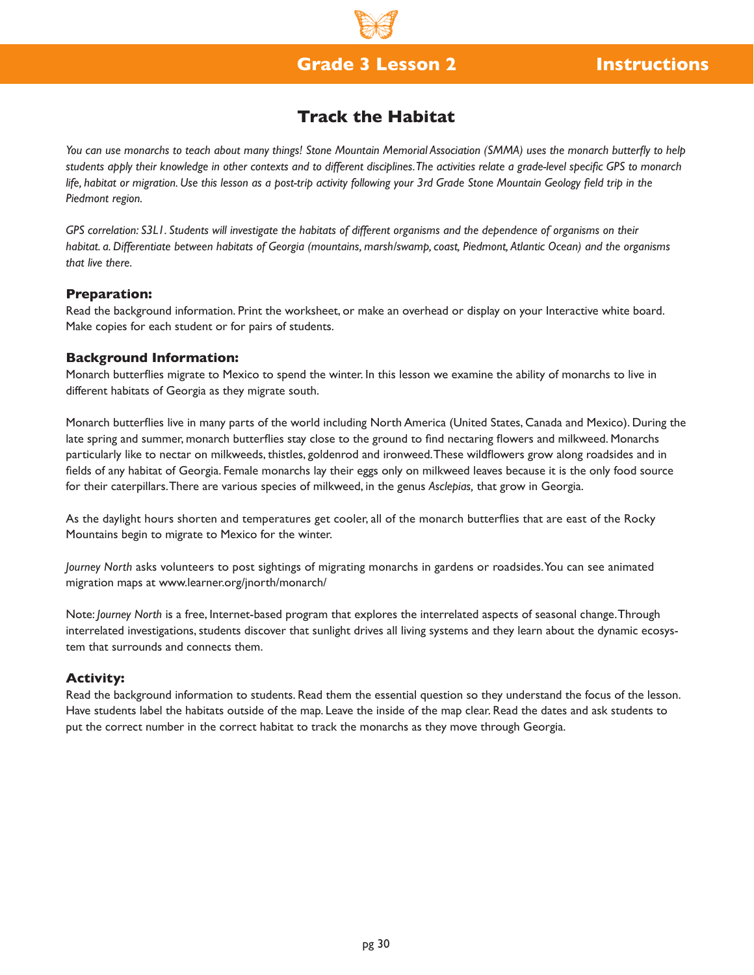## **Grade 3 Lesson 2 Instructions**

## **Track the Habitat**

*You can use monarchs to teach about many things! Stone Mountain Memorial Association (SMMA) uses the monarch butterfly to help students apply their knowledge in other contexts and to different disciplines. The activities relate a grade-level specific GPS to monarch*  life, habitat or migration. Use this lesson as a post-trip activity following your 3rd Grade Stone Mountain Geology field trip in the *Piedmont region.*

*GPS correlation: S3L1. Students will investigate the habitats of different organisms and the dependence of organisms on their habitat. a. Differentiate between habitats of Georgia (mountains, marsh/swamp, coast, Piedmont, Atlantic Ocean) and the organisms that live there.*

#### **Preparation:**

Read the background information. Print the worksheet, or make an overhead or display on your Interactive white board. Make copies for each student or for pairs of students.

#### **Background Information:**

Monarch butterflies migrate to Mexico to spend the winter. In this lesson we examine the ability of monarchs to live in different habitats of Georgia as they migrate south.

Monarch butterflies live in many parts of the world including North America (United States, Canada and Mexico). During the late spring and summer, monarch butterflies stay close to the ground to find nectaring flowers and milkweed. Monarchs particularly like to nectar on milkweeds, thistles, goldenrod and ironweed. These wildflowers grow along roadsides and in fields of any habitat of Georgia. Female monarchs lay their eggs only on milkweed leaves because it is the only food source for their caterpillars. There are various species of milkweed, in the genus *Asclepias,* that grow in Georgia.

As the daylight hours shorten and temperatures get cooler, all of the monarch butterflies that are east of the Rocky Mountains begin to migrate to Mexico for the winter.

*Journey North* asks volunteers to post sightings of migrating monarchs in gardens or roadsides. You can see animated migration maps at www.learner.org/jnorth/monarch/

Note: *Journey North* is a free, Internet-based program that explores the interrelated aspects of seasonal change. Through interrelated investigations, students discover that sunlight drives all living systems and they learn about the dynamic ecosystem that surrounds and connects them.

## **Activity:**

Read the background information to students. Read them the essential question so they understand the focus of the lesson. Have students label the habitats outside of the map. Leave the inside of the map clear. Read the dates and ask students to put the correct number in the correct habitat to track the monarchs as they move through Georgia.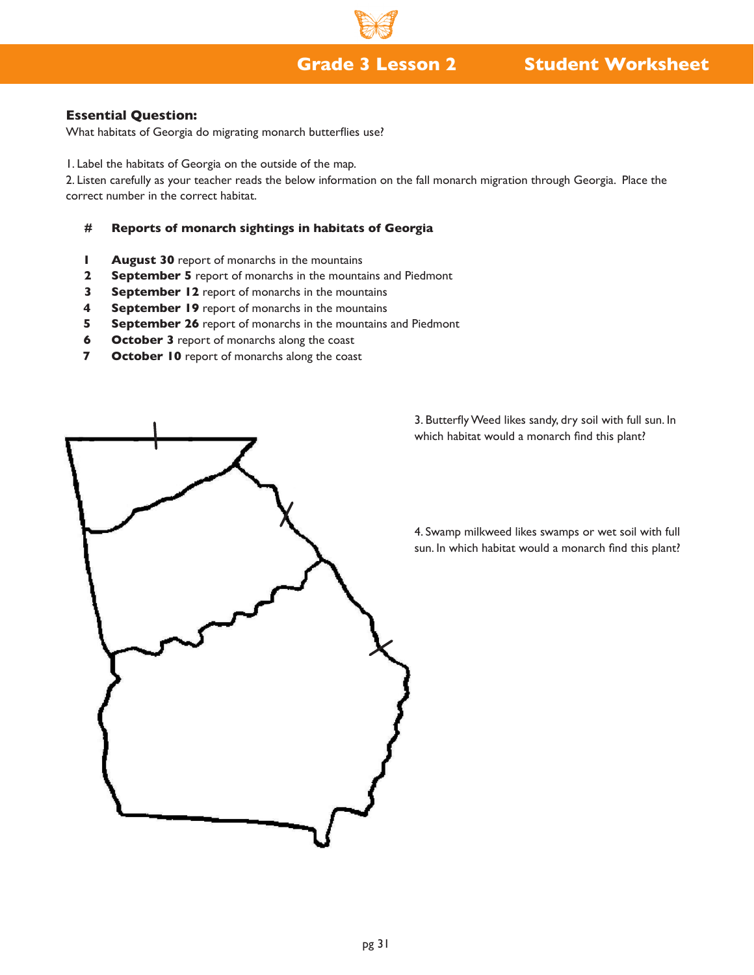## **Grade 3 Lesson 2 Student Worksheet**

## **Essential Question:**

What habitats of Georgia do migrating monarch butterflies use?

1. Label the habitats of Georgia on the outside of the map.

2. Listen carefully as your teacher reads the below information on the fall monarch migration through Georgia. Place the correct number in the correct habitat.

#### **# Reports of monarch sightings in habitats of Georgia**

- **1 August 30** report of monarchs in the mountains
- **2 September 5** report of monarchs in the mountains and Piedmont
- **3 September 12** report of monarchs in the mountains
- **4 September 19** report of monarchs in the mountains
- **5 September 26** report of monarchs in the mountains and Piedmont
- **6 October 3** report of monarchs along the coast
- **7 October 10** report of monarchs along the coast



3. Butterfly Weed likes sandy, dry soil with full sun. In which habitat would a monarch find this plant?

4. Swamp milkweed likes swamps or wet soil with full sun. In which habitat would a monarch find this plant?